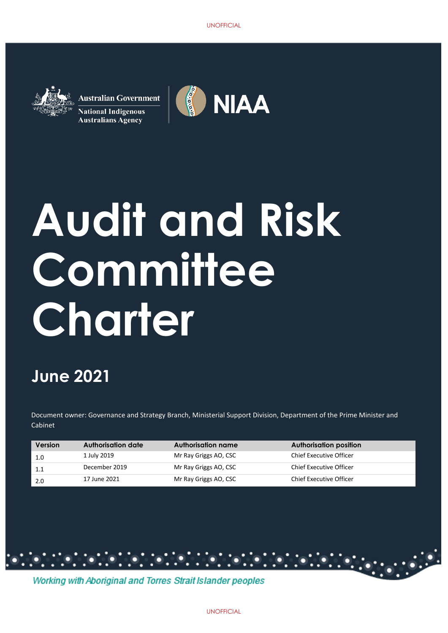

**Australian Government National Indigenous Australians Agency** 



# UNOFFICIAL<br>
Sterial Supp<br>
Sterial Supp<br>
Sterial Supp<br>
Sterial Supp<br>
Sterial Supp<br>
Sterial Supp<br>
Sterial Supp<br>
Sterial Supp<br>
Sterial Supp<br>
Sterial Supp<br>
Sterial Supp<br>
Sterial Supplement<br>
Contained By<br>
Sterial Supplement<br>
Co **Audit and Risk Committee Charter**

# **June 2021**

Document owner: Governance and Strategy Branch, Ministerial Support Division, Department of the Prime Minister and Cabinet

| Version | Authorisation date | Authorisation name    | Authorisation position         |
|---------|--------------------|-----------------------|--------------------------------|
| 1.0     | 1 July 2019        | Mr Ray Griggs AO, CSC | Chief Executive Officer        |
| 1.1     | December 2019      | Mr Ray Griggs AO, CSC | <b>Chief Executive Officer</b> |
| 2.0     | 17 June 2021       | Mr Ray Griggs AO, CSC | <b>Chief Executive Officer</b> |

Working with Aboriginal and Torres Strait Islander peoples

 $\ldots$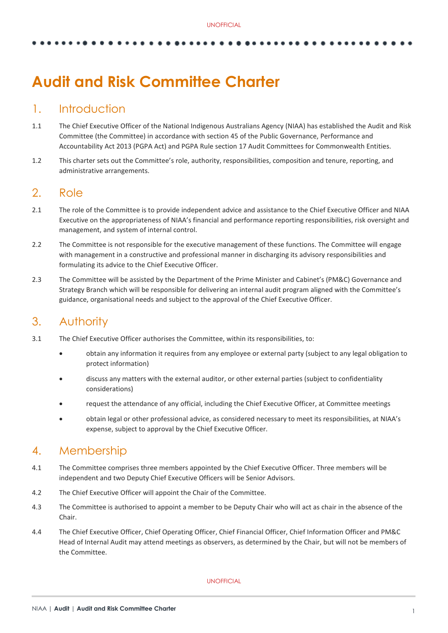# **Audit and Risk Committee Charter**

# 1. Introduction

- 1.1 The Chief Executive Officer of the National Indigenous Australians Agency (NIAA) has established the Audit and Risk Committee (the Committee) in accordance with section 45 of the Public Governance, Performance and Accountability Act 2013 (PGPA Act) and PGPA Rule section 17 Audit Committees for Commonwealth Entities.
- 1.2 This charter sets out the Committee's role, authority, responsibilities, composition and tenure, reporting, and administrative arrangements.

# 2. Role

- 2.1 The role of the Committee is to provide independent advice and assistance to the Chief Executive Officer and NIAA Executive on the appropriateness of NIAA's financial and performance reporting responsibilities, risk oversight and management, and system of internal control.
- 2.2 The Committee is not responsible for the executive management of these functions. The Committee will engage with management in a constructive and professional manner in discharging its advisory responsibilities and formulating its advice to the Chief Executive Officer.
- 2.3 The Committee will be assisted by the Department of the Prime Minister and Cabinet's (PM&C) Governance and Strategy Branch which will be responsible for delivering an internal audit program aligned with the Committee's guidance, organisational needs and subject to the approval of the Chief Executive Officer.

# 3. Authority

- 3.1 The Chief Executive Officer authorises the Committee, within its responsibilities, to:
	- obtain any information it requires from any employee or external party (subject to any legal obligation to protect information)
	- discuss any matters with the external auditor, or other external parties (subject to confidentiality considerations)
	- request the attendance of any official, including the Chief Executive Officer, at Committee meetings
	- obtain legal or other professional advice, as considered necessary to meet its responsibilities, at NIAA's expense, subject to approval by the Chief Executive Officer.

# 4. Membership

- 4.1 The Committee comprises three members appointed by the Chief Executive Officer. Three members will be independent and two Deputy Chief Executive Officers will be Senior Advisors.
- 4.2 The Chief Executive Officer will appoint the Chair of the Committee.
- 4.3 The Committee is authorised to appoint a member to be Deputy Chair who will act as chair in the absence of the Chair.
- 4.4 The Chief Executive Officer, Chief Operating Officer, Chief Financial Officer, Chief Information Officer and PM&C Head of Internal Audit may attend meetings as observers, as determined by the Chair, but will not be members of the Committee.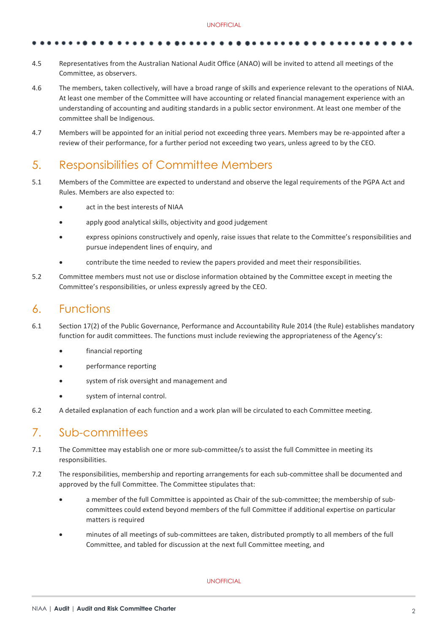- 4.5 Representatives from the Australian National Audit Office (ANAO) will be invited to attend all meetings of the Committee, as observers.
- 4.6 The members, taken collectively, will have a broad range of skills and experience relevant to the operations of NIAA. At least one member of the Committee will have accounting or related financial management experience with an understanding of accounting and auditing standards in a public sector environment. At least one member of the committee shall be Indigenous.
- 4.7 Members will be appointed for an initial period not exceeding three years. Members may be re-appointed after a review of their performance, for a further period not exceeding two years, unless agreed to by the CEO.

# 5. Responsibilities of Committee Members

- 5.1 Members of the Committee are expected to understand and observe the legal requirements of the PGPA Act and Rules. Members are also expected to:
	- act in the best interests of NIAA
	- apply good analytical skills, objectivity and good judgement
	- express opinions constructively and openly, raise issues that relate to the Committee's responsibilities and pursue independent lines of enquiry, and
	- contribute the time needed to review the papers provided and meet their responsibilities.
- 5.2 Committee members must not use or disclose information obtained by the Committee except in meeting the Committee's responsibilities, or unless expressly agreed by the CEO.

# 6. Functions

- 6.1 Section 17(2) of the Public Governance, Performance and Accountability Rule 2014 (the Rule) establishes mandatory function for audit committees. The functions must include reviewing the appropriateness of the Agency's:
	- financial reporting
	- performance reporting
	- system of risk oversight and management and
	- system of internal control.
- 6.2 A detailed explanation of each function and a work plan will be circulated to each Committee meeting.

# 7. Sub-committees

- 7.1 The Committee may establish one or more sub-committee/s to assist the full Committee in meeting its responsibilities.
- 7.2 The responsibilities, membership and reporting arrangements for each sub-committee shall be documented and approved by the full Committee. The Committee stipulates that:
	- a member of the full Committee is appointed as Chair of the sub-committee; the membership of subcommittees could extend beyond members of the full Committee if additional expertise on particular matters is required
	- minutes of all meetings of sub-committees are taken, distributed promptly to all members of the full Committee, and tabled for discussion at the next full Committee meeting, and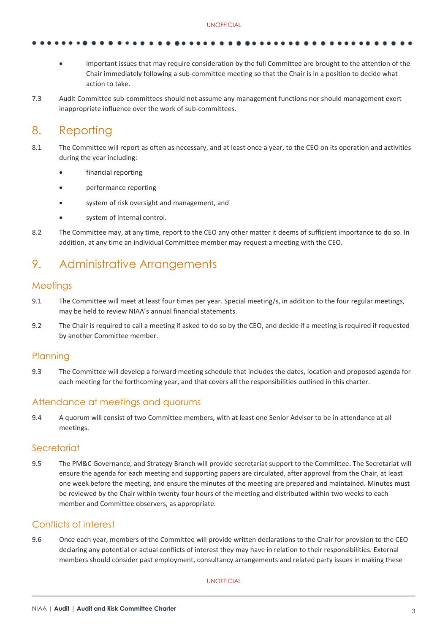- important issues that may require consideration by the full Committee are brought to the attention of the Chair immediately following a sub-committee meeting so that the Chair is in a position to decide what action to take.
- 7.3 Audit Committee sub-committees should not assume any management functions nor should management exert inappropriate influence over the work of sub-committees.

# 8. Reporting

- 8.1 The Committee will report as often as necessary, and at least once a year, to the CEO on its operation and activities during the year including:
	- financial reporting
	- performance reporting
	- system of risk oversight and management, and
	- system of internal control.
- 8.2 The Committee may, at any time, report to the CEO any other matter it deems of sufficient importance to do so. In addition, at any time an individual Committee member may request a meeting with the CEO.

# 9. Administrative Arrangements

### **Meetings**

- 9.1 The Committee will meet at least four times per year. Special meeting/s, in addition to the four regular meetings, may be held to review NIAA's annual financial statements.
- 9.2 The Chair is required to call a meeting if asked to do so by the CEO, and decide if a meeting is required if requested by another Committee member.

### **Planning**

9.3 The Committee will develop a forward meeting schedule that includes the dates, location and proposed agenda for each meeting for the forthcoming year, and that covers all the responsibilities outlined in this charter.

### Attendance at meetings and quorums

9.4 A quorum will consist of two Committee members, with at least one Senior Advisor to be in attendance at all meetings.

### **Secretariat**

9.5 The PM&C Governance, and Strategy Branch will provide secretariat support to the Committee. The Secretariat will ensure the agenda for each meeting and supporting papers are circulated, after approval from the Chair, at least one week before the meeting, and ensure the minutes of the meeting are prepared and maintained. Minutes must be reviewed by the Chair within twenty four hours of the meeting and distributed within two weeks to each member and Committee observers, as appropriate.

## Conflicts of interest

9.6 Once each year, members of the Committee will provide written declarations to the Chair for provision to the CEO declaring any potential or actual conflicts of interest they may have in relation to their responsibilities. External members should consider past employment, consultancy arrangements and related party issues in making these